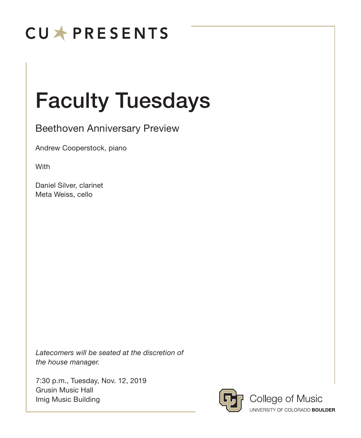## **CUXPRESENTS**

# Faculty Tuesdays

Beethoven Anniversary Preview

Andrew Cooperstock, piano

**With** 

Daniel Silver, clarinet Meta Weiss, cello

*Latecomers will be seated at the discretion of the house manager.*

7:30 p.m., Tuesday, Nov. 12, 2019 Grusin Music Hall Imig Music Building



College of Music UNIVERSITY OF COLORADO BOULDER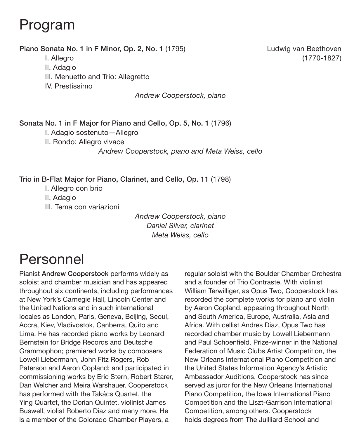## Program

#### Piano Sonata No. 1 in F Minor, Op. 2, No. 1 (1795) Ludwig van Beethoven

II. Adagio

III. Menuetto and Trio: Allegretto

IV. Prestissimo

*Andrew Cooperstock, piano*

Sonata No. 1 in F Major for Piano and Cello, Op. 5, No. 1 (1796)

I. Adagio sostenuto—Allegro

II. Rondo: Allegro vivace

*Andrew Cooperstock, piano and Meta Weiss, cello*

Trio in B-Flat Major for Piano, Clarinet, and Cello, Op. 11 (1798)

I. Allegro con brio II. Adagio III. Tema con variazioni

> *Andrew Cooperstock, piano Daniel Silver, clarinet Meta Weiss, cello*

## Personnel

Pianist Andrew Cooperstock performs widely as soloist and chamber musician and has appeared throughout six continents, including performances at New York's Carnegie Hall, Lincoln Center and the United Nations and in such international locales as London, Paris, Geneva, Beijing, Seoul, Accra, Kiev, Vladivostok, Canberra, Quito and Lima. He has recorded piano works by Leonard Bernstein for Bridge Records and Deutsche Grammophon; premiered works by composers Lowell Liebermann, John Fitz Rogers, Rob Paterson and Aaron Copland; and participated in commissioning works by Eric Stern, Robert Starer, Dan Welcher and Meira Warshauer. Cooperstock has performed with the Takács Quartet, the Ying Quartet, the Dorian Quintet, violinist James Buswell, violist Roberto Diaz and many more. He is a member of the Colorado Chamber Players, a

regular soloist with the Boulder Chamber Orchestra and a founder of Trio Contraste. With violinist William Terwilliger, as Opus Two, Cooperstock has recorded the complete works for piano and violin by Aaron Copland, appearing throughout North and South America, Europe, Australia, Asia and Africa. With cellist Andres Diaz, Opus Two has recorded chamber music by Lowell Liebermann and Paul Schoenfield. Prize-winner in the National Federation of Music Clubs Artist Competition, the New Orleans International Piano Competition and the United States Information Agency's Artistic Ambassador Auditions, Cooperstock has since served as juror for the New Orleans International Piano Competition, the Iowa International Piano Competition and the Liszt-Garrison International Competition, among others. Cooperstock holds degrees from The Juilliard School and

I. Allegro (1770-1827)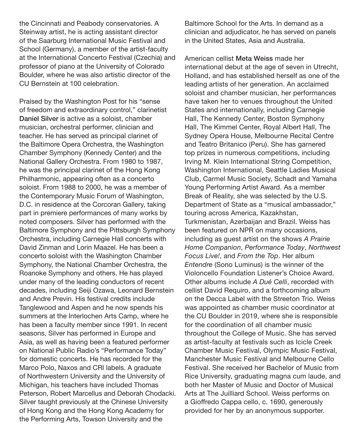the Cincinnati and Peabody conservatories. A Steinway artist, he is acting assistant director of the Saarburg International Music Festival and School (Germany), a member of the artist-faculty at the International Concerto Festival (Czechia) and professor of piano at the University of Colorado Boulder, where he was also artistic director of the CU Bernstein at 100 celebration.

Praised by the Washington Post for his "sense of freedom and extraordinary control," clarinetist Daniel Silver is active as a soloist, chamber musician, orchestral performer, clinician and teacher. He has served as principal clarinet of the Baltimore Opera Orchestra, the Washington Chamber Symphony (Kennedy Center) and the National Gallery Orchestra. From 1980 to 1987, he was the principal clarinet of the Hong Kong Philharmonic, appearing often as a concerto soloist. From 1988 to 2000, he was a member of the Contemporary Music Forum of Washington, D.C. in residence at the Corcoran Gallery, taking part in premiere performances of many works by noted composers. Silver has performed with the Baltimore Symphony and the Pittsburgh Symphony Orchestra, including Carnegie Hall concerts with David Zinman and Lorin Maazel. He has been a concerto soloist with the Washington Chamber Symphony, the National Chamber Orchestra, the Roanoke Symphony and others. He has played under many of the leading conductors of recent decades, including Seiji Ozawa, Leonard Bernstein and Andre Previn. His festival credits include Tanglewood and Aspen and he now spends his summers at the Interlochen Arts Camp, where he has been a faculty member since 1991. In recent seasons, Silver has performed in Europe and Asia, as well as having been a featured performer on National Public Radio's "Performance Today" for domestic concerts. He has recorded for the Marco Polo, Naxos and CRI labels. A graduate of Northwestern University and the University of Michigan, his teachers have included Thomas Peterson, Robert Marcellus and Deborah Chodacki. Silver taught previously at the Chinese University of Hong Kong and the Hong Kong Academy for the Performing Arts, Towson University and the

Baltimore School for the Arts. In demand as a clinician and adjudicator, he has served on panels in the United States, Asia and Australia.

American cellist Meta Weiss made her international debut at the age of seven in Utrecht, Holland, and has established herself as one of the leading artists of her generation. An acclaimed soloist and chamber musician, her performances have taken her to venues throughout the United States and internationally, including Carnegie Hall, The Kennedy Center, Boston Symphony Hall, The Kimmel Center, Royal Albert Hall, The Sydney Opera House, Melbourne Recital Centre and Teatro Britanico (Peru). She has garnered top prizes in numerous competitions, including Irving M. Klein International String Competition, Washington International, Seattle Ladies Musical Club, Carmel Music Society, Schadt and Yamaha Young Performing Artist Award. As a member Break of Reality, she was selected by the U.S. Department of State as a "musical ambassador," touring across America, Kazakhstan, Turkmenistan, Azerbaijan and Brazil. Weiss has been featured on NPR on many occasions, including as guest artist on the shows *A Prairie Home Companion*, *Performance Today*, *Northwest Focus Live!*, and *From the Top*. Her album *Entendre* (Sono Luminus) is the winner of the Violoncello Foundation Listener's Choice Award. Other albums include *A Dué Celli*, recorded with cellist David Requiro, and a forthcoming album on the Decca Label with the Streeton Trio. Weiss was appointed as chamber music coordinator at the CU Boulder in 2019, where she is responsible for the coordination of all chamber music throughout the College of Music. She has served as artist-faculty at festivals such as Icicle Creek Chamber Music Festival, Olympic Music Festival, Manchester Music Festival and Melbourne Cello Festival. She received her Bachelor of Music from Rice University, graduating magna cum laude, and both her Master of Music and Doctor of Musical Arts at The Juilliard School. Weiss performs on a Gioffredo Cappa cello, c. 1690, generously provided for her by an anonymous supporter.